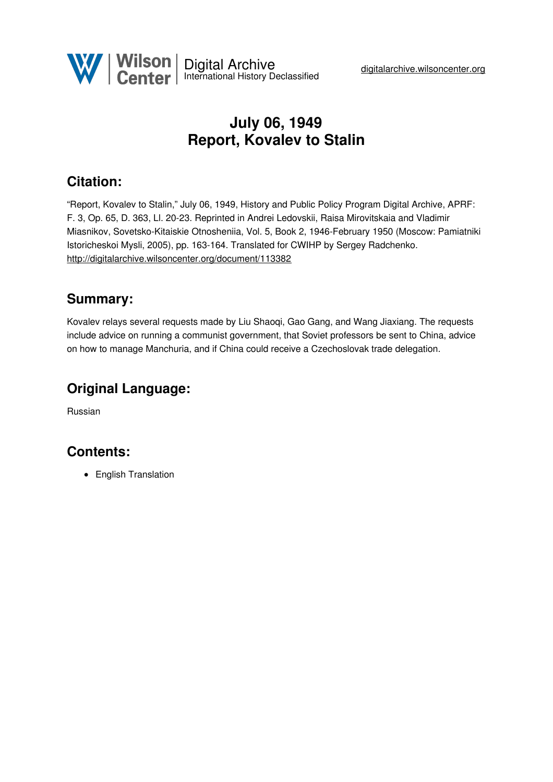

# **July 06, 1949 Report, Kovalev to Stalin**

## **Citation:**

"Report, Kovalev to Stalin," July 06, 1949, History and Public Policy Program Digital Archive, APRF: F. 3, Op. 65, D. 363, Ll. 20-23. Reprinted in Andrei Ledovskii, Raisa Mirovitskaia and Vladimir Miasnikov, Sovetsko-Kitaiskie Otnosheniia, Vol. 5, Book 2, 1946-February 1950 (Moscow: Pamiatniki Istoricheskoi Mysli, 2005), pp. 163-164. Translated for CWIHP by Sergey Radchenko. <http://digitalarchive.wilsoncenter.org/document/113382>

#### **Summary:**

Kovalev relays several requests made by Liu Shaoqi, Gao Gang, and Wang Jiaxiang. The requests include advice on running a communist government, that Soviet professors be sent to China, advice on how to manage Manchuria, and if China could receive a Czechoslovak trade delegation.

## **Original Language:**

Russian

### **Contents:**

• English Translation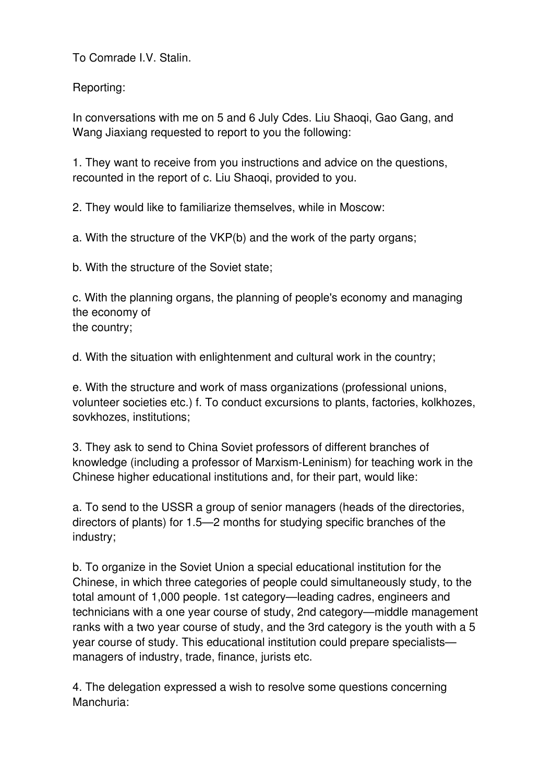To Comrade I.V. Stalin.

Reporting:

In conversations with me on 5 and 6 July Cdes. Liu Shaoqi, Gao Gang, and Wang Jiaxiang requested to report to you the following:

1. They want to receive from you instructions and advice on the questions, recounted in the report of c. Liu Shaoqi, provided to you.

2. They would like to familiarize themselves, while in Moscow:

a. With the structure of the VKP(b) and the work of the party organs;

b. With the structure of the Soviet state;

c. With the planning organs, the planning of people's economy and managing the economy of the country;

d. With the situation with enlightenment and cultural work in the country;

e. With the structure and work of mass organizations (professional unions, volunteer societies etc.) f. To conduct excursions to plants, factories, kolkhozes, sovkhozes, institutions;

3. They ask to send to China Soviet professors of different branches of knowledge (including a professor of Marxism-Leninism) for teaching work in the Chinese higher educational institutions and, for their part, would like:

a. To send to the USSR a group of senior managers (heads of the directories, directors of plants) for 1.5—2 months for studying specific branches of the industry;

b. To organize in the Soviet Union a special educational institution for the Chinese, in which three categories of people could simultaneously study, to the total amount of 1,000 people. 1st category—leading cadres, engineers and technicians with a one year course of study, 2nd category—middle management ranks with a two year course of study, and the 3rd category is the youth with a 5 year course of study. This educational institution could prepare specialists managers of industry, trade, finance, jurists etc.

4. The delegation expressed a wish to resolve some questions concerning Manchuria: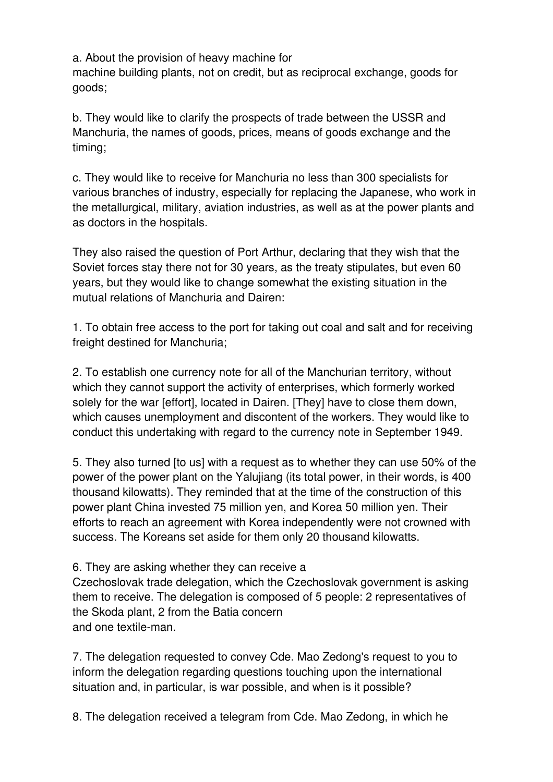a. About the provision of heavy machine for

machine building plants, not on credit, but as reciprocal exchange, goods for goods;

b. They would like to clarify the prospects of trade between the USSR and Manchuria, the names of goods, prices, means of goods exchange and the timing;

c. They would like to receive for Manchuria no less than 300 specialists for various branches of industry, especially for replacing the Japanese, who work in the metallurgical, military, aviation industries, as well as at the power plants and as doctors in the hospitals.

They also raised the question of Port Arthur, declaring that they wish that the Soviet forces stay there not for 30 years, as the treaty stipulates, but even 60 years, but they would like to change somewhat the existing situation in the mutual relations of Manchuria and Dairen:

1. To obtain free access to the port for taking out coal and salt and for receiving freight destined for Manchuria;

2. To establish one currency note for all of the Manchurian territory, without which they cannot support the activity of enterprises, which formerly worked solely for the war [effort], located in Dairen. [They] have to close them down, which causes unemployment and discontent of the workers. They would like to conduct this undertaking with regard to the currency note in September 1949.

5. They also turned [to us] with a request as to whether they can use 50% of the power of the power plant on the Yalujiang (its total power, in their words, is 400 thousand kilowatts). They reminded that at the time of the construction of this power plant China invested 75 million yen, and Korea 50 million yen. Their efforts to reach an agreement with Korea independently were not crowned with success. The Koreans set aside for them only 20 thousand kilowatts.

6. They are asking whether they can receive a

Czechoslovak trade delegation, which the Czechoslovak government is asking them to receive. The delegation is composed of 5 people: 2 representatives of the Skoda plant, 2 from the Batia concern and one textile-man.

7. The delegation requested to convey Cde. Mao Zedong's request to you to inform the delegation regarding questions touching upon the international situation and, in particular, is war possible, and when is it possible?

8. The delegation received a telegram from Cde. Mao Zedong, in which he